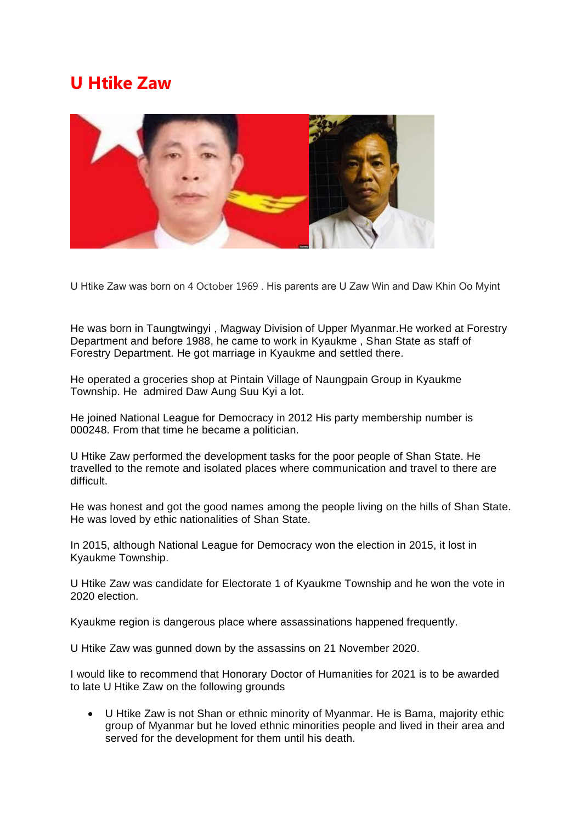## **U Htike Zaw**



U Htike Zaw was born on 4 October 1969 . His parents are U Zaw Win and Daw Khin Oo Myint

He was born in Taungtwingyi , Magway Division of Upper Myanmar.He worked at Forestry Department and before 1988, he came to work in Kyaukme , Shan State as staff of Forestry Department. He got marriage in Kyaukme and settled there.

He operated a groceries shop at Pintain Village of Naungpain Group in Kyaukme Township. He admired Daw Aung Suu Kyi a lot.

He joined National League for Democracy in 2012 His party membership number is 000248. From that time he became a politician.

U Htike Zaw performed the development tasks for the poor people of Shan State. He travelled to the remote and isolated places where communication and travel to there are difficult.

He was honest and got the good names among the people living on the hills of Shan State. He was loved by ethic nationalities of Shan State.

In 2015, although National League for Democracy won the election in 2015, it lost in Kyaukme Township.

U Htike Zaw was candidate for Electorate 1 of Kyaukme Township and he won the vote in 2020 election.

Kyaukme region is dangerous place where assassinations happened frequently.

U Htike Zaw was gunned down by the assassins on 21 November 2020.

I would like to recommend that Honorary Doctor of Humanities for 2021 is to be awarded to late U Htike Zaw on the following grounds

• U Htike Zaw is not Shan or ethnic minority of Myanmar. He is Bama, majority ethic group of Myanmar but he loved ethnic minorities people and lived in their area and served for the development for them until his death.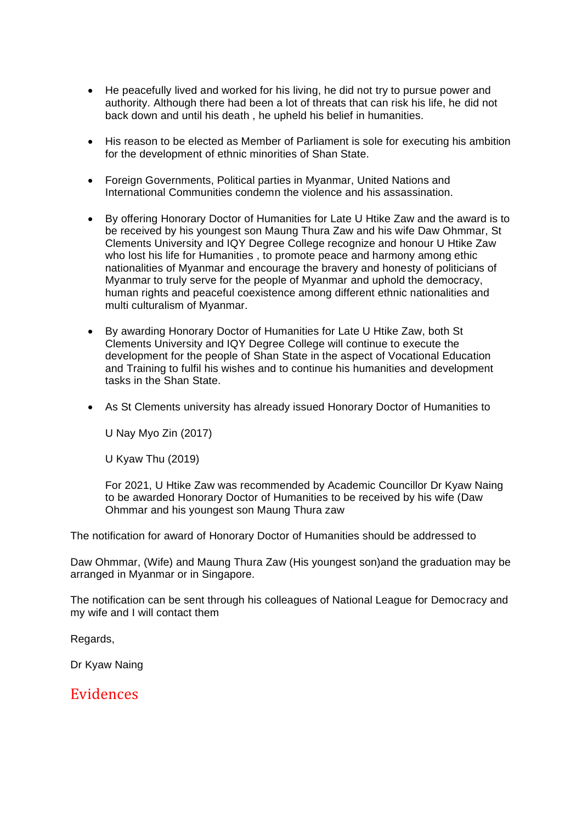- He peacefully lived and worked for his living, he did not try to pursue power and authority. Although there had been a lot of threats that can risk his life, he did not back down and until his death , he upheld his belief in humanities.
- His reason to be elected as Member of Parliament is sole for executing his ambition for the development of ethnic minorities of Shan State.
- Foreign Governments, Political parties in Myanmar, United Nations and International Communities condemn the violence and his assassination.
- By offering Honorary Doctor of Humanities for Late U Htike Zaw and the award is to be received by his youngest son Maung Thura Zaw and his wife Daw Ohmmar, St Clements University and IQY Degree College recognize and honour U Htike Zaw who lost his life for Humanities , to promote peace and harmony among ethic nationalities of Myanmar and encourage the bravery and honesty of politicians of Myanmar to truly serve for the people of Myanmar and uphold the democracy, human rights and peaceful coexistence among different ethnic nationalities and multi culturalism of Myanmar.
- By awarding Honorary Doctor of Humanities for Late U Htike Zaw, both St Clements University and IQY Degree College will continue to execute the development for the people of Shan State in the aspect of Vocational Education and Training to fulfil his wishes and to continue his humanities and development tasks in the Shan State.
- As St Clements university has already issued Honorary Doctor of Humanities to

U Nay Myo Zin (2017)

U Kyaw Thu (2019)

For 2021, U Htike Zaw was recommended by Academic Councillor Dr Kyaw Naing to be awarded Honorary Doctor of Humanities to be received by his wife (Daw Ohmmar and his youngest son Maung Thura zaw

The notification for award of Honorary Doctor of Humanities should be addressed to

Daw Ohmmar, (Wife) and Maung Thura Zaw (His youngest son)and the graduation may be arranged in Myanmar or in Singapore.

The notification can be sent through his colleagues of National League for Democracy and my wife and I will contact them

Regards,

Dr Kyaw Naing

## **Evidences**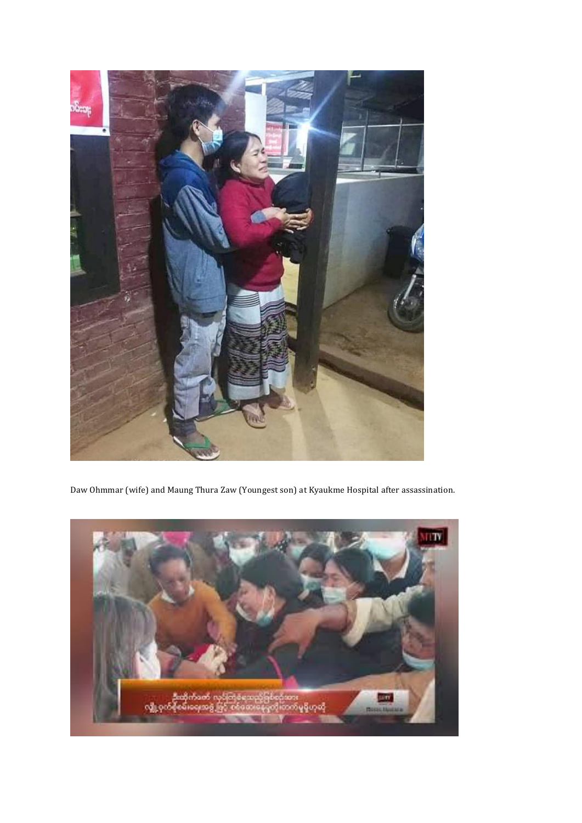

Daw Ohmmar (wife) and Maung Thura Zaw (Youngest son) at Kyaukme Hospital after assassination.

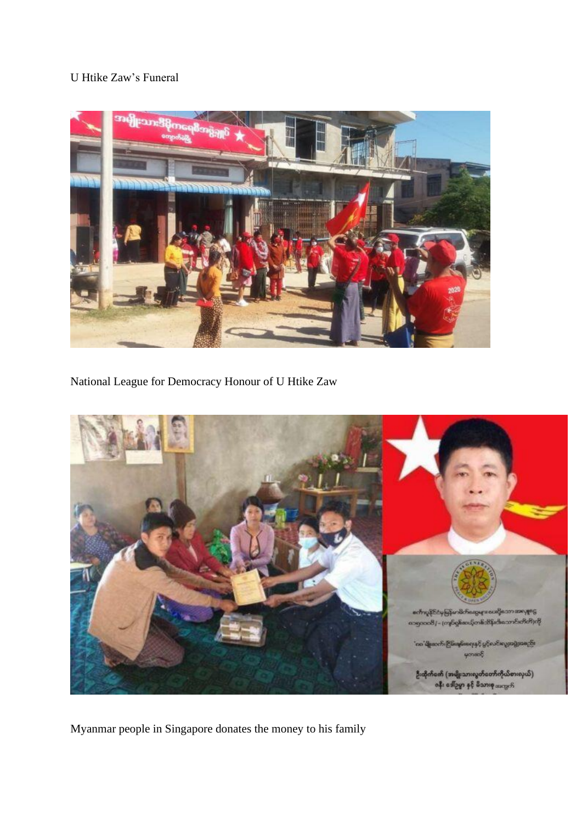## U Htike Zaw's Funeral



National League for Democracy Honour of U Htike Zaw



Myanmar people in Singapore donates the money to his family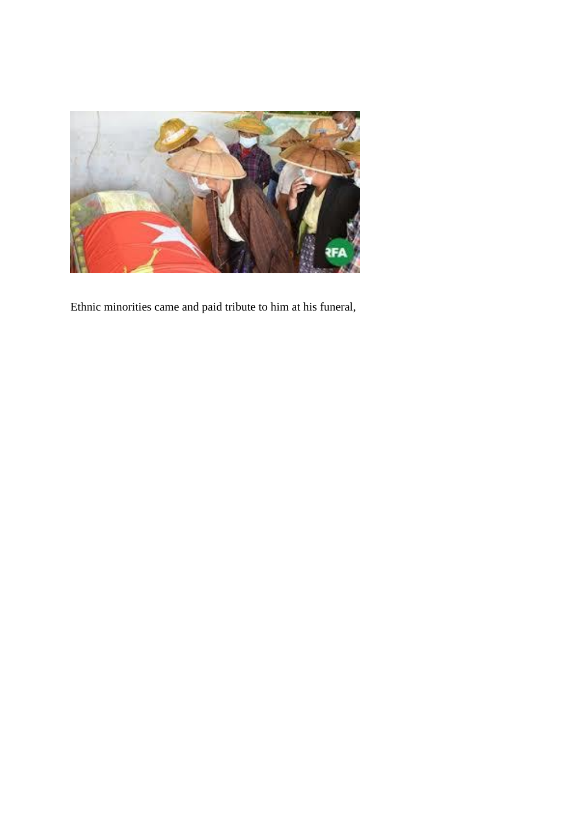

Ethnic minorities came and paid tribute to him at his funeral,